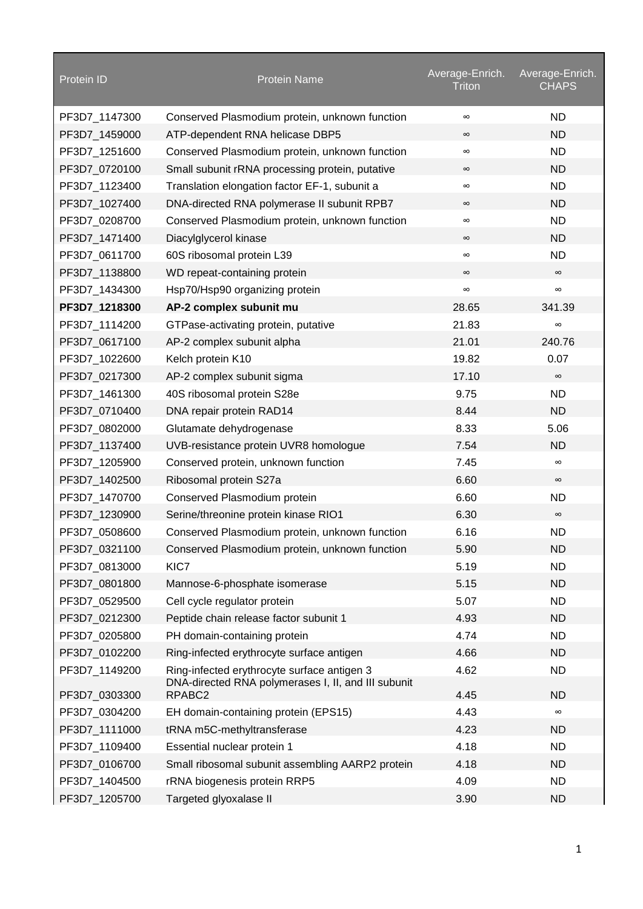| <b>ND</b><br>PF3D7_1147300<br>Conserved Plasmodium protein, unknown function<br>$\infty$<br><b>ND</b><br>PF3D7_1459000<br>ATP-dependent RNA helicase DBP5<br>$\infty$<br><b>ND</b><br>PF3D7_1251600<br>Conserved Plasmodium protein, unknown function<br>$\infty$<br><b>ND</b><br>PF3D7_0720100<br>Small subunit rRNA processing protein, putative<br>$\infty$<br><b>ND</b><br>PF3D7_1123400<br>Translation elongation factor EF-1, subunit a<br>$\infty$<br><b>ND</b><br>PF3D7_1027400<br>DNA-directed RNA polymerase II subunit RPB7<br>$\infty$<br><b>ND</b><br>PF3D7_0208700<br>Conserved Plasmodium protein, unknown function<br>$\infty$<br><b>ND</b><br>PF3D7_1471400<br>Diacylglycerol kinase<br>$\infty$<br><b>ND</b><br>PF3D7_0611700<br>60S ribosomal protein L39<br>$\infty$<br>PF3D7_1138800<br>WD repeat-containing protein<br>$\infty$<br>$\infty$<br>PF3D7_1434300<br>Hsp70/Hsp90 organizing protein<br>$\infty$<br>$\infty$<br>AP-2 complex subunit mu<br>PF3D7_1218300<br>28.65<br>341.39<br>21.83<br>PF3D7 1114200<br>GTPase-activating protein, putative<br>$\infty$<br>21.01<br>240.76<br>PF3D7_0617100<br>AP-2 complex subunit alpha<br>19.82<br>0.07<br>PF3D7_1022600<br>Kelch protein K10<br>17.10<br>PF3D7_0217300<br>AP-2 complex subunit sigma<br>$\infty$<br>9.75<br><b>ND</b><br>PF3D7_1461300<br>40S ribosomal protein S28e<br>8.44<br><b>ND</b><br>PF3D7_0710400<br>DNA repair protein RAD14<br>8.33<br>5.06<br>PF3D7_0802000<br>Glutamate dehydrogenase<br>7.54<br><b>ND</b><br>PF3D7_1137400<br>UVB-resistance protein UVR8 homologue<br>7.45<br>PF3D7_1205900<br>Conserved protein, unknown function<br>$\infty$<br>6.60<br>PF3D7_1402500<br>Ribosomal protein S27a<br>$\infty$<br>6.60<br>PF3D7_1470700<br>Conserved Plasmodium protein<br><b>ND</b><br>6.30<br>PF3D7_1230900<br>Serine/threonine protein kinase RIO1<br>$\infty$<br>6.16<br><b>ND</b><br>PF3D7 0508600<br>Conserved Plasmodium protein, unknown function<br>5.90<br><b>ND</b><br>PF3D7_0321100<br>Conserved Plasmodium protein, unknown function<br>5.19<br>KIC7<br><b>ND</b><br>PF3D7_0813000<br>5.15<br><b>ND</b><br>PF3D7_0801800<br>Mannose-6-phosphate isomerase<br>5.07<br><b>ND</b><br>PF3D7_0529500<br>Cell cycle regulator protein<br>4.93<br>PF3D7_0212300<br>Peptide chain release factor subunit 1<br><b>ND</b><br>4.74<br><b>ND</b><br>PF3D7_0205800<br>PH domain-containing protein<br>Ring-infected erythrocyte surface antigen<br>4.66<br><b>ND</b><br>PF3D7 0102200<br>Ring-infected erythrocyte surface antigen 3<br>4.62<br><b>ND</b><br>PF3D7_1149200<br>DNA-directed RNA polymerases I, II, and III subunit<br>RPABC2<br>4.45<br><b>ND</b><br>PF3D7_0303300<br>4.43<br>PF3D7_0304200<br>EH domain-containing protein (EPS15)<br>$\infty$<br>4.23<br><b>ND</b><br>PF3D7_1111000<br>tRNA m5C-methyltransferase<br>4.18<br><b>ND</b><br>PF3D7_1109400<br>Essential nuclear protein 1<br>PF3D7_0106700<br>Small ribosomal subunit assembling AARP2 protein<br>4.18<br><b>ND</b><br>4.09<br><b>ND</b><br>PF3D7_1404500<br>rRNA biogenesis protein RRP5 | <b>Protein ID</b> | <b>Protein Name</b>    | Average-Enrich.<br>Triton | Average-Enrich.<br><b>CHAPS</b> |
|----------------------------------------------------------------------------------------------------------------------------------------------------------------------------------------------------------------------------------------------------------------------------------------------------------------------------------------------------------------------------------------------------------------------------------------------------------------------------------------------------------------------------------------------------------------------------------------------------------------------------------------------------------------------------------------------------------------------------------------------------------------------------------------------------------------------------------------------------------------------------------------------------------------------------------------------------------------------------------------------------------------------------------------------------------------------------------------------------------------------------------------------------------------------------------------------------------------------------------------------------------------------------------------------------------------------------------------------------------------------------------------------------------------------------------------------------------------------------------------------------------------------------------------------------------------------------------------------------------------------------------------------------------------------------------------------------------------------------------------------------------------------------------------------------------------------------------------------------------------------------------------------------------------------------------------------------------------------------------------------------------------------------------------------------------------------------------------------------------------------------------------------------------------------------------------------------------------------------------------------------------------------------------------------------------------------------------------------------------------------------------------------------------------------------------------------------------------------------------------------------------------------------------------------------------------------------------------------------------------------------------------------------------------------------------------------------------------------------------------------------------------------------------------------------------------------------------------------------------------------------------------------------------------------------------------------------------------------------------------------------------------------------------------------------------------------------|-------------------|------------------------|---------------------------|---------------------------------|
|                                                                                                                                                                                                                                                                                                                                                                                                                                                                                                                                                                                                                                                                                                                                                                                                                                                                                                                                                                                                                                                                                                                                                                                                                                                                                                                                                                                                                                                                                                                                                                                                                                                                                                                                                                                                                                                                                                                                                                                                                                                                                                                                                                                                                                                                                                                                                                                                                                                                                                                                                                                                                                                                                                                                                                                                                                                                                                                                                                                                                                                                            |                   |                        |                           |                                 |
|                                                                                                                                                                                                                                                                                                                                                                                                                                                                                                                                                                                                                                                                                                                                                                                                                                                                                                                                                                                                                                                                                                                                                                                                                                                                                                                                                                                                                                                                                                                                                                                                                                                                                                                                                                                                                                                                                                                                                                                                                                                                                                                                                                                                                                                                                                                                                                                                                                                                                                                                                                                                                                                                                                                                                                                                                                                                                                                                                                                                                                                                            |                   |                        |                           |                                 |
|                                                                                                                                                                                                                                                                                                                                                                                                                                                                                                                                                                                                                                                                                                                                                                                                                                                                                                                                                                                                                                                                                                                                                                                                                                                                                                                                                                                                                                                                                                                                                                                                                                                                                                                                                                                                                                                                                                                                                                                                                                                                                                                                                                                                                                                                                                                                                                                                                                                                                                                                                                                                                                                                                                                                                                                                                                                                                                                                                                                                                                                                            |                   |                        |                           |                                 |
|                                                                                                                                                                                                                                                                                                                                                                                                                                                                                                                                                                                                                                                                                                                                                                                                                                                                                                                                                                                                                                                                                                                                                                                                                                                                                                                                                                                                                                                                                                                                                                                                                                                                                                                                                                                                                                                                                                                                                                                                                                                                                                                                                                                                                                                                                                                                                                                                                                                                                                                                                                                                                                                                                                                                                                                                                                                                                                                                                                                                                                                                            |                   |                        |                           |                                 |
|                                                                                                                                                                                                                                                                                                                                                                                                                                                                                                                                                                                                                                                                                                                                                                                                                                                                                                                                                                                                                                                                                                                                                                                                                                                                                                                                                                                                                                                                                                                                                                                                                                                                                                                                                                                                                                                                                                                                                                                                                                                                                                                                                                                                                                                                                                                                                                                                                                                                                                                                                                                                                                                                                                                                                                                                                                                                                                                                                                                                                                                                            |                   |                        |                           |                                 |
|                                                                                                                                                                                                                                                                                                                                                                                                                                                                                                                                                                                                                                                                                                                                                                                                                                                                                                                                                                                                                                                                                                                                                                                                                                                                                                                                                                                                                                                                                                                                                                                                                                                                                                                                                                                                                                                                                                                                                                                                                                                                                                                                                                                                                                                                                                                                                                                                                                                                                                                                                                                                                                                                                                                                                                                                                                                                                                                                                                                                                                                                            |                   |                        |                           |                                 |
|                                                                                                                                                                                                                                                                                                                                                                                                                                                                                                                                                                                                                                                                                                                                                                                                                                                                                                                                                                                                                                                                                                                                                                                                                                                                                                                                                                                                                                                                                                                                                                                                                                                                                                                                                                                                                                                                                                                                                                                                                                                                                                                                                                                                                                                                                                                                                                                                                                                                                                                                                                                                                                                                                                                                                                                                                                                                                                                                                                                                                                                                            |                   |                        |                           |                                 |
|                                                                                                                                                                                                                                                                                                                                                                                                                                                                                                                                                                                                                                                                                                                                                                                                                                                                                                                                                                                                                                                                                                                                                                                                                                                                                                                                                                                                                                                                                                                                                                                                                                                                                                                                                                                                                                                                                                                                                                                                                                                                                                                                                                                                                                                                                                                                                                                                                                                                                                                                                                                                                                                                                                                                                                                                                                                                                                                                                                                                                                                                            |                   |                        |                           |                                 |
|                                                                                                                                                                                                                                                                                                                                                                                                                                                                                                                                                                                                                                                                                                                                                                                                                                                                                                                                                                                                                                                                                                                                                                                                                                                                                                                                                                                                                                                                                                                                                                                                                                                                                                                                                                                                                                                                                                                                                                                                                                                                                                                                                                                                                                                                                                                                                                                                                                                                                                                                                                                                                                                                                                                                                                                                                                                                                                                                                                                                                                                                            |                   |                        |                           |                                 |
|                                                                                                                                                                                                                                                                                                                                                                                                                                                                                                                                                                                                                                                                                                                                                                                                                                                                                                                                                                                                                                                                                                                                                                                                                                                                                                                                                                                                                                                                                                                                                                                                                                                                                                                                                                                                                                                                                                                                                                                                                                                                                                                                                                                                                                                                                                                                                                                                                                                                                                                                                                                                                                                                                                                                                                                                                                                                                                                                                                                                                                                                            |                   |                        |                           |                                 |
|                                                                                                                                                                                                                                                                                                                                                                                                                                                                                                                                                                                                                                                                                                                                                                                                                                                                                                                                                                                                                                                                                                                                                                                                                                                                                                                                                                                                                                                                                                                                                                                                                                                                                                                                                                                                                                                                                                                                                                                                                                                                                                                                                                                                                                                                                                                                                                                                                                                                                                                                                                                                                                                                                                                                                                                                                                                                                                                                                                                                                                                                            |                   |                        |                           |                                 |
|                                                                                                                                                                                                                                                                                                                                                                                                                                                                                                                                                                                                                                                                                                                                                                                                                                                                                                                                                                                                                                                                                                                                                                                                                                                                                                                                                                                                                                                                                                                                                                                                                                                                                                                                                                                                                                                                                                                                                                                                                                                                                                                                                                                                                                                                                                                                                                                                                                                                                                                                                                                                                                                                                                                                                                                                                                                                                                                                                                                                                                                                            |                   |                        |                           |                                 |
|                                                                                                                                                                                                                                                                                                                                                                                                                                                                                                                                                                                                                                                                                                                                                                                                                                                                                                                                                                                                                                                                                                                                                                                                                                                                                                                                                                                                                                                                                                                                                                                                                                                                                                                                                                                                                                                                                                                                                                                                                                                                                                                                                                                                                                                                                                                                                                                                                                                                                                                                                                                                                                                                                                                                                                                                                                                                                                                                                                                                                                                                            |                   |                        |                           |                                 |
|                                                                                                                                                                                                                                                                                                                                                                                                                                                                                                                                                                                                                                                                                                                                                                                                                                                                                                                                                                                                                                                                                                                                                                                                                                                                                                                                                                                                                                                                                                                                                                                                                                                                                                                                                                                                                                                                                                                                                                                                                                                                                                                                                                                                                                                                                                                                                                                                                                                                                                                                                                                                                                                                                                                                                                                                                                                                                                                                                                                                                                                                            |                   |                        |                           |                                 |
|                                                                                                                                                                                                                                                                                                                                                                                                                                                                                                                                                                                                                                                                                                                                                                                                                                                                                                                                                                                                                                                                                                                                                                                                                                                                                                                                                                                                                                                                                                                                                                                                                                                                                                                                                                                                                                                                                                                                                                                                                                                                                                                                                                                                                                                                                                                                                                                                                                                                                                                                                                                                                                                                                                                                                                                                                                                                                                                                                                                                                                                                            |                   |                        |                           |                                 |
|                                                                                                                                                                                                                                                                                                                                                                                                                                                                                                                                                                                                                                                                                                                                                                                                                                                                                                                                                                                                                                                                                                                                                                                                                                                                                                                                                                                                                                                                                                                                                                                                                                                                                                                                                                                                                                                                                                                                                                                                                                                                                                                                                                                                                                                                                                                                                                                                                                                                                                                                                                                                                                                                                                                                                                                                                                                                                                                                                                                                                                                                            |                   |                        |                           |                                 |
|                                                                                                                                                                                                                                                                                                                                                                                                                                                                                                                                                                                                                                                                                                                                                                                                                                                                                                                                                                                                                                                                                                                                                                                                                                                                                                                                                                                                                                                                                                                                                                                                                                                                                                                                                                                                                                                                                                                                                                                                                                                                                                                                                                                                                                                                                                                                                                                                                                                                                                                                                                                                                                                                                                                                                                                                                                                                                                                                                                                                                                                                            |                   |                        |                           |                                 |
|                                                                                                                                                                                                                                                                                                                                                                                                                                                                                                                                                                                                                                                                                                                                                                                                                                                                                                                                                                                                                                                                                                                                                                                                                                                                                                                                                                                                                                                                                                                                                                                                                                                                                                                                                                                                                                                                                                                                                                                                                                                                                                                                                                                                                                                                                                                                                                                                                                                                                                                                                                                                                                                                                                                                                                                                                                                                                                                                                                                                                                                                            |                   |                        |                           |                                 |
|                                                                                                                                                                                                                                                                                                                                                                                                                                                                                                                                                                                                                                                                                                                                                                                                                                                                                                                                                                                                                                                                                                                                                                                                                                                                                                                                                                                                                                                                                                                                                                                                                                                                                                                                                                                                                                                                                                                                                                                                                                                                                                                                                                                                                                                                                                                                                                                                                                                                                                                                                                                                                                                                                                                                                                                                                                                                                                                                                                                                                                                                            |                   |                        |                           |                                 |
|                                                                                                                                                                                                                                                                                                                                                                                                                                                                                                                                                                                                                                                                                                                                                                                                                                                                                                                                                                                                                                                                                                                                                                                                                                                                                                                                                                                                                                                                                                                                                                                                                                                                                                                                                                                                                                                                                                                                                                                                                                                                                                                                                                                                                                                                                                                                                                                                                                                                                                                                                                                                                                                                                                                                                                                                                                                                                                                                                                                                                                                                            |                   |                        |                           |                                 |
|                                                                                                                                                                                                                                                                                                                                                                                                                                                                                                                                                                                                                                                                                                                                                                                                                                                                                                                                                                                                                                                                                                                                                                                                                                                                                                                                                                                                                                                                                                                                                                                                                                                                                                                                                                                                                                                                                                                                                                                                                                                                                                                                                                                                                                                                                                                                                                                                                                                                                                                                                                                                                                                                                                                                                                                                                                                                                                                                                                                                                                                                            |                   |                        |                           |                                 |
|                                                                                                                                                                                                                                                                                                                                                                                                                                                                                                                                                                                                                                                                                                                                                                                                                                                                                                                                                                                                                                                                                                                                                                                                                                                                                                                                                                                                                                                                                                                                                                                                                                                                                                                                                                                                                                                                                                                                                                                                                                                                                                                                                                                                                                                                                                                                                                                                                                                                                                                                                                                                                                                                                                                                                                                                                                                                                                                                                                                                                                                                            |                   |                        |                           |                                 |
|                                                                                                                                                                                                                                                                                                                                                                                                                                                                                                                                                                                                                                                                                                                                                                                                                                                                                                                                                                                                                                                                                                                                                                                                                                                                                                                                                                                                                                                                                                                                                                                                                                                                                                                                                                                                                                                                                                                                                                                                                                                                                                                                                                                                                                                                                                                                                                                                                                                                                                                                                                                                                                                                                                                                                                                                                                                                                                                                                                                                                                                                            |                   |                        |                           |                                 |
|                                                                                                                                                                                                                                                                                                                                                                                                                                                                                                                                                                                                                                                                                                                                                                                                                                                                                                                                                                                                                                                                                                                                                                                                                                                                                                                                                                                                                                                                                                                                                                                                                                                                                                                                                                                                                                                                                                                                                                                                                                                                                                                                                                                                                                                                                                                                                                                                                                                                                                                                                                                                                                                                                                                                                                                                                                                                                                                                                                                                                                                                            |                   |                        |                           |                                 |
|                                                                                                                                                                                                                                                                                                                                                                                                                                                                                                                                                                                                                                                                                                                                                                                                                                                                                                                                                                                                                                                                                                                                                                                                                                                                                                                                                                                                                                                                                                                                                                                                                                                                                                                                                                                                                                                                                                                                                                                                                                                                                                                                                                                                                                                                                                                                                                                                                                                                                                                                                                                                                                                                                                                                                                                                                                                                                                                                                                                                                                                                            |                   |                        |                           |                                 |
|                                                                                                                                                                                                                                                                                                                                                                                                                                                                                                                                                                                                                                                                                                                                                                                                                                                                                                                                                                                                                                                                                                                                                                                                                                                                                                                                                                                                                                                                                                                                                                                                                                                                                                                                                                                                                                                                                                                                                                                                                                                                                                                                                                                                                                                                                                                                                                                                                                                                                                                                                                                                                                                                                                                                                                                                                                                                                                                                                                                                                                                                            |                   |                        |                           |                                 |
|                                                                                                                                                                                                                                                                                                                                                                                                                                                                                                                                                                                                                                                                                                                                                                                                                                                                                                                                                                                                                                                                                                                                                                                                                                                                                                                                                                                                                                                                                                                                                                                                                                                                                                                                                                                                                                                                                                                                                                                                                                                                                                                                                                                                                                                                                                                                                                                                                                                                                                                                                                                                                                                                                                                                                                                                                                                                                                                                                                                                                                                                            |                   |                        |                           |                                 |
|                                                                                                                                                                                                                                                                                                                                                                                                                                                                                                                                                                                                                                                                                                                                                                                                                                                                                                                                                                                                                                                                                                                                                                                                                                                                                                                                                                                                                                                                                                                                                                                                                                                                                                                                                                                                                                                                                                                                                                                                                                                                                                                                                                                                                                                                                                                                                                                                                                                                                                                                                                                                                                                                                                                                                                                                                                                                                                                                                                                                                                                                            |                   |                        |                           |                                 |
|                                                                                                                                                                                                                                                                                                                                                                                                                                                                                                                                                                                                                                                                                                                                                                                                                                                                                                                                                                                                                                                                                                                                                                                                                                                                                                                                                                                                                                                                                                                                                                                                                                                                                                                                                                                                                                                                                                                                                                                                                                                                                                                                                                                                                                                                                                                                                                                                                                                                                                                                                                                                                                                                                                                                                                                                                                                                                                                                                                                                                                                                            |                   |                        |                           |                                 |
|                                                                                                                                                                                                                                                                                                                                                                                                                                                                                                                                                                                                                                                                                                                                                                                                                                                                                                                                                                                                                                                                                                                                                                                                                                                                                                                                                                                                                                                                                                                                                                                                                                                                                                                                                                                                                                                                                                                                                                                                                                                                                                                                                                                                                                                                                                                                                                                                                                                                                                                                                                                                                                                                                                                                                                                                                                                                                                                                                                                                                                                                            |                   |                        |                           |                                 |
|                                                                                                                                                                                                                                                                                                                                                                                                                                                                                                                                                                                                                                                                                                                                                                                                                                                                                                                                                                                                                                                                                                                                                                                                                                                                                                                                                                                                                                                                                                                                                                                                                                                                                                                                                                                                                                                                                                                                                                                                                                                                                                                                                                                                                                                                                                                                                                                                                                                                                                                                                                                                                                                                                                                                                                                                                                                                                                                                                                                                                                                                            |                   |                        |                           |                                 |
|                                                                                                                                                                                                                                                                                                                                                                                                                                                                                                                                                                                                                                                                                                                                                                                                                                                                                                                                                                                                                                                                                                                                                                                                                                                                                                                                                                                                                                                                                                                                                                                                                                                                                                                                                                                                                                                                                                                                                                                                                                                                                                                                                                                                                                                                                                                                                                                                                                                                                                                                                                                                                                                                                                                                                                                                                                                                                                                                                                                                                                                                            |                   |                        |                           |                                 |
|                                                                                                                                                                                                                                                                                                                                                                                                                                                                                                                                                                                                                                                                                                                                                                                                                                                                                                                                                                                                                                                                                                                                                                                                                                                                                                                                                                                                                                                                                                                                                                                                                                                                                                                                                                                                                                                                                                                                                                                                                                                                                                                                                                                                                                                                                                                                                                                                                                                                                                                                                                                                                                                                                                                                                                                                                                                                                                                                                                                                                                                                            |                   |                        |                           |                                 |
|                                                                                                                                                                                                                                                                                                                                                                                                                                                                                                                                                                                                                                                                                                                                                                                                                                                                                                                                                                                                                                                                                                                                                                                                                                                                                                                                                                                                                                                                                                                                                                                                                                                                                                                                                                                                                                                                                                                                                                                                                                                                                                                                                                                                                                                                                                                                                                                                                                                                                                                                                                                                                                                                                                                                                                                                                                                                                                                                                                                                                                                                            |                   |                        |                           |                                 |
|                                                                                                                                                                                                                                                                                                                                                                                                                                                                                                                                                                                                                                                                                                                                                                                                                                                                                                                                                                                                                                                                                                                                                                                                                                                                                                                                                                                                                                                                                                                                                                                                                                                                                                                                                                                                                                                                                                                                                                                                                                                                                                                                                                                                                                                                                                                                                                                                                                                                                                                                                                                                                                                                                                                                                                                                                                                                                                                                                                                                                                                                            |                   |                        |                           |                                 |
|                                                                                                                                                                                                                                                                                                                                                                                                                                                                                                                                                                                                                                                                                                                                                                                                                                                                                                                                                                                                                                                                                                                                                                                                                                                                                                                                                                                                                                                                                                                                                                                                                                                                                                                                                                                                                                                                                                                                                                                                                                                                                                                                                                                                                                                                                                                                                                                                                                                                                                                                                                                                                                                                                                                                                                                                                                                                                                                                                                                                                                                                            |                   |                        |                           |                                 |
|                                                                                                                                                                                                                                                                                                                                                                                                                                                                                                                                                                                                                                                                                                                                                                                                                                                                                                                                                                                                                                                                                                                                                                                                                                                                                                                                                                                                                                                                                                                                                                                                                                                                                                                                                                                                                                                                                                                                                                                                                                                                                                                                                                                                                                                                                                                                                                                                                                                                                                                                                                                                                                                                                                                                                                                                                                                                                                                                                                                                                                                                            |                   |                        |                           |                                 |
|                                                                                                                                                                                                                                                                                                                                                                                                                                                                                                                                                                                                                                                                                                                                                                                                                                                                                                                                                                                                                                                                                                                                                                                                                                                                                                                                                                                                                                                                                                                                                                                                                                                                                                                                                                                                                                                                                                                                                                                                                                                                                                                                                                                                                                                                                                                                                                                                                                                                                                                                                                                                                                                                                                                                                                                                                                                                                                                                                                                                                                                                            |                   |                        |                           |                                 |
|                                                                                                                                                                                                                                                                                                                                                                                                                                                                                                                                                                                                                                                                                                                                                                                                                                                                                                                                                                                                                                                                                                                                                                                                                                                                                                                                                                                                                                                                                                                                                                                                                                                                                                                                                                                                                                                                                                                                                                                                                                                                                                                                                                                                                                                                                                                                                                                                                                                                                                                                                                                                                                                                                                                                                                                                                                                                                                                                                                                                                                                                            |                   |                        |                           |                                 |
|                                                                                                                                                                                                                                                                                                                                                                                                                                                                                                                                                                                                                                                                                                                                                                                                                                                                                                                                                                                                                                                                                                                                                                                                                                                                                                                                                                                                                                                                                                                                                                                                                                                                                                                                                                                                                                                                                                                                                                                                                                                                                                                                                                                                                                                                                                                                                                                                                                                                                                                                                                                                                                                                                                                                                                                                                                                                                                                                                                                                                                                                            | PF3D7_1205700     | Targeted glyoxalase II | 3.90                      | <b>ND</b>                       |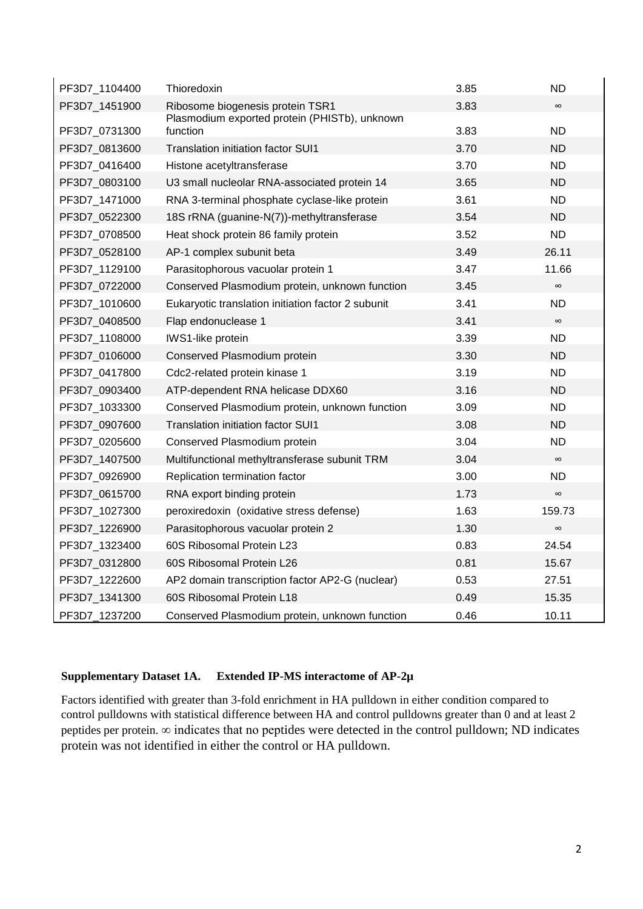| PF3D7_1104400 | Thioredoxin                                               | 3.85 | <b>ND</b> |
|---------------|-----------------------------------------------------------|------|-----------|
| PF3D7_1451900 | Ribosome biogenesis protein TSR1                          | 3.83 | $\infty$  |
| PF3D7_0731300 | Plasmodium exported protein (PHISTb), unknown<br>function | 3.83 | <b>ND</b> |
| PF3D7_0813600 | <b>Translation initiation factor SUI1</b>                 | 3.70 | <b>ND</b> |
| PF3D7_0416400 | Histone acetyltransferase                                 | 3.70 | <b>ND</b> |
| PF3D7_0803100 | U3 small nucleolar RNA-associated protein 14              | 3.65 | <b>ND</b> |
| PF3D7_1471000 | RNA 3-terminal phosphate cyclase-like protein             | 3.61 | <b>ND</b> |
| PF3D7 0522300 | 18S rRNA (guanine-N(7))-methyltransferase                 | 3.54 | <b>ND</b> |
| PF3D7_0708500 | Heat shock protein 86 family protein                      | 3.52 | <b>ND</b> |
| PF3D7_0528100 | AP-1 complex subunit beta                                 | 3.49 | 26.11     |
| PF3D7_1129100 | Parasitophorous vacuolar protein 1                        | 3.47 | 11.66     |
| PF3D7_0722000 | Conserved Plasmodium protein, unknown function            | 3.45 | $\infty$  |
| PF3D7_1010600 | Eukaryotic translation initiation factor 2 subunit        | 3.41 | <b>ND</b> |
| PF3D7_0408500 | Flap endonuclease 1                                       | 3.41 | $\infty$  |
| PF3D7_1108000 | <b>IWS1-like protein</b>                                  | 3.39 | <b>ND</b> |
| PF3D7_0106000 | Conserved Plasmodium protein                              | 3.30 | <b>ND</b> |
| PF3D7_0417800 | Cdc2-related protein kinase 1                             | 3.19 | <b>ND</b> |
| PF3D7_0903400 | ATP-dependent RNA helicase DDX60                          | 3.16 | <b>ND</b> |
| PF3D7_1033300 | Conserved Plasmodium protein, unknown function            | 3.09 | <b>ND</b> |
| PF3D7_0907600 | Translation initiation factor SUI1                        | 3.08 | <b>ND</b> |
| PF3D7_0205600 | Conserved Plasmodium protein                              | 3.04 | <b>ND</b> |
| PF3D7_1407500 | Multifunctional methyltransferase subunit TRM             | 3.04 | $\infty$  |
| PF3D7_0926900 | Replication termination factor                            | 3.00 | <b>ND</b> |
| PF3D7_0615700 | RNA export binding protein                                | 1.73 | $\infty$  |
| PF3D7_1027300 | peroxiredoxin (oxidative stress defense)                  | 1.63 | 159.73    |
| PF3D7_1226900 | Parasitophorous vacuolar protein 2                        | 1.30 | $\infty$  |
| PF3D7_1323400 | 60S Ribosomal Protein L23                                 | 0.83 | 24.54     |
| PF3D7_0312800 | 60S Ribosomal Protein L26                                 | 0.81 | 15.67     |
| PF3D7_1222600 | AP2 domain transcription factor AP2-G (nuclear)           | 0.53 | 27.51     |
| PF3D7_1341300 | 60S Ribosomal Protein L18                                 | 0.49 | 15.35     |
| PF3D7_1237200 | Conserved Plasmodium protein, unknown function            | 0.46 | 10.11     |

## **Supplementary Dataset 1A. Extended IP-MS interactome of AP-2µ**

Factors identified with greater than 3-fold enrichment in HA pulldown in either condition compared to control pulldowns with statistical difference between HA and control pulldowns greater than 0 and at least 2 peptides per protein. ∞ indicates that no peptides were detected in the control pulldown; ND indicates protein was not identified in either the control or HA pulldown.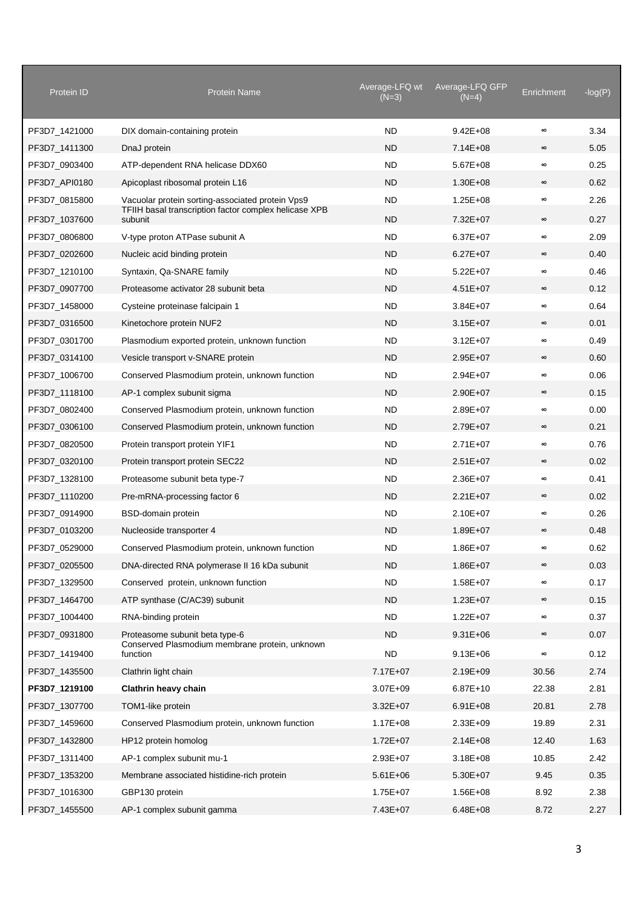| Protein ID    | Protein Name                                                     | Average-LFQ wt<br>$(N=3)$ | Average-LFQ GFP<br>(N=4) | Enrichment | $-log(P)$ |
|---------------|------------------------------------------------------------------|---------------------------|--------------------------|------------|-----------|
| PF3D7 1421000 | DIX domain-containing protein                                    | <b>ND</b>                 | $9.42E + 08$             | $\infty$   | 3.34      |
| PF3D7_1411300 | DnaJ protein                                                     | <b>ND</b>                 | $7.14E + 08$             | $\infty$   | 5.05      |
| PF3D7_0903400 | ATP-dependent RNA helicase DDX60                                 | <b>ND</b>                 | $5.67E + 08$             | $\infty$   | 0.25      |
| PF3D7_API0180 | Apicoplast ribosomal protein L16                                 | ND                        | $1.30E + 08$             | $\infty$   | 0.62      |
| PF3D7_0815800 | Vacuolar protein sorting-associated protein Vps9                 | <b>ND</b>                 | $1.25E + 08$             | $\infty$   | 2.26      |
| PF3D7_1037600 | TFIIH basal transcription factor complex helicase XPB<br>subunit | <b>ND</b>                 | 7.32E+07                 | $\infty$   | 0.27      |
| PF3D7_0806800 | V-type proton ATPase subunit A                                   | <b>ND</b>                 | $6.37E + 07$             | $\infty$   | 2.09      |
| PF3D7_0202600 | Nucleic acid binding protein                                     | <b>ND</b>                 | $6.27E + 07$             | $\infty$   | 0.40      |
| PF3D7_1210100 | Syntaxin, Qa-SNARE family                                        | <b>ND</b>                 | $5.22E + 07$             | $\infty$   | 0.46      |
| PF3D7_0907700 | Proteasome activator 28 subunit beta                             | <b>ND</b>                 | $4.51E + 07$             | $\infty$   | 0.12      |
| PF3D7_1458000 | Cysteine proteinase falcipain 1                                  | <b>ND</b>                 | $3.84E + 07$             | $\infty$   | 0.64      |
| PF3D7_0316500 | Kinetochore protein NUF2                                         | <b>ND</b>                 | $3.15E + 07$             | $\infty$   | 0.01      |
| PF3D7_0301700 | Plasmodium exported protein, unknown function                    | <b>ND</b>                 | $3.12E + 07$             | $\infty$   | 0.49      |
| PF3D7_0314100 | Vesicle transport v-SNARE protein                                | <b>ND</b>                 | $2.95E+07$               | $\infty$   | 0.60      |
| PF3D7_1006700 | Conserved Plasmodium protein, unknown function                   | <b>ND</b>                 | $2.94E + 07$             | $\infty$   | 0.06      |
| PF3D7_1118100 | AP-1 complex subunit sigma                                       | <b>ND</b>                 | $2.90E + 07$             | $\infty$   | 0.15      |
| PF3D7_0802400 | Conserved Plasmodium protein, unknown function                   | <b>ND</b>                 | $2.89E + 07$             | $\infty$   | 0.00      |
| PF3D7_0306100 | Conserved Plasmodium protein, unknown function                   | <b>ND</b>                 | 2.79E+07                 | $\infty$   | 0.21      |
| PF3D7_0820500 | Protein transport protein YIF1                                   | <b>ND</b>                 | 2.71E+07                 | $\infty$   | 0.76      |
| PF3D7_0320100 | Protein transport protein SEC22                                  | <b>ND</b>                 | $2.51E+07$               | $\infty$   | 0.02      |
| PF3D7_1328100 | Proteasome subunit beta type-7                                   | <b>ND</b>                 | $2.36E + 07$             | $\infty$   | 0.41      |
| PF3D7_1110200 | Pre-mRNA-processing factor 6                                     | <b>ND</b>                 | $2.21E + 07$             | $\infty$   | 0.02      |
| PF3D7_0914900 | BSD-domain protein                                               | <b>ND</b>                 | $2.10E + 07$             | $\infty$   | 0.26      |
| PF3D7_0103200 | Nucleoside transporter 4                                         | <b>ND</b>                 | $1.89E + 07$             | $\infty$   | 0.48      |
| PF3D7_0529000 | Conserved Plasmodium protein, unknown function                   | <b>ND</b>                 | $1.86E + 07$             | $\infty$   | 0.62      |
| PF3D7_0205500 | DNA-directed RNA polymerase II 16 kDa subunit                    | <b>ND</b>                 | $1.86E + 07$             | $\infty$   | 0.03      |
| PF3D7_1329500 | Conserved protein, unknown function                              | <b>ND</b>                 | $1.58E + 07$             | $\infty$   | 0.17      |
| PF3D7 1464700 | ATP synthase (C/AC39) subunit                                    | <b>ND</b>                 | $1.23E + 07$             | $\infty$   | 0.15      |
| PF3D7_1004400 | RNA-binding protein                                              | <b>ND</b>                 | $1.22E + 07$             | $\infty$   | 0.37      |
| PF3D7_0931800 | Proteasome subunit beta type-6                                   | <b>ND</b>                 | $9.31E + 06$             | $\infty$   | 0.07      |
| PF3D7 1419400 | Conserved Plasmodium membrane protein, unknown<br>function       | <b>ND</b>                 | $9.13E + 06$             | $\infty$   | 0.12      |
| PF3D7_1435500 | Clathrin light chain                                             | 7.17E+07                  | 2.19E+09                 | 30.56      | 2.74      |
| PF3D7_1219100 | Clathrin heavy chain                                             | 3.07E+09                  | $6.87E+10$               | 22.38      | 2.81      |
| PF3D7_1307700 | TOM1-like protein                                                | $3.32E + 07$              | $6.91E + 08$             | 20.81      | 2.78      |
| PF3D7_1459600 | Conserved Plasmodium protein, unknown function                   | $1.17E + 08$              | 2.33E+09                 | 19.89      | 2.31      |
| PF3D7_1432800 | HP12 protein homolog                                             | $1.72E + 07$              | $2.14E + 08$             | 12.40      | 1.63      |
| PF3D7_1311400 | AP-1 complex subunit mu-1                                        | 2.93E+07                  | $3.18E + 08$             | 10.85      | 2.42      |
| PF3D7_1353200 | Membrane associated histidine-rich protein                       | $5.61E + 06$              | 5.30E+07                 | 9.45       | 0.35      |
| PF3D7_1016300 | GBP130 protein                                                   | 1.75E+07                  | $1.56E + 08$             | 8.92       | 2.38      |
| PF3D7_1455500 | AP-1 complex subunit gamma                                       | 7.43E+07                  | $6.48E + 08$             | 8.72       | 2.27      |